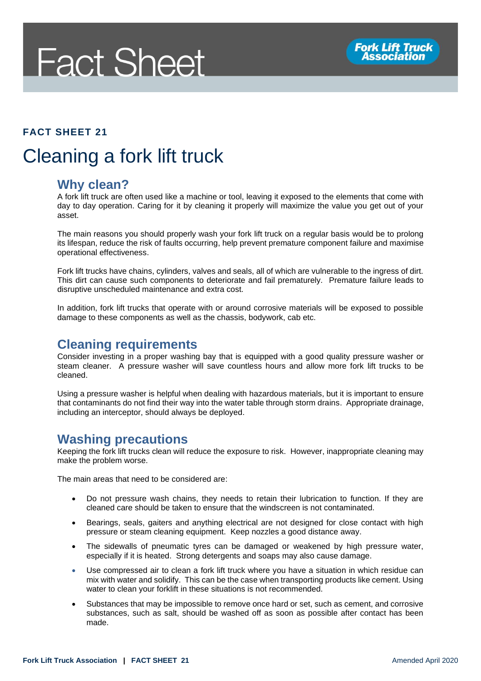# **Fact Sheet**

#### **FACT SHEET 21**

## Cleaning a fork lift truck

#### **Why clean?**

A fork lift truck are often used like a machine or tool, leaving it exposed to the elements that come with day to day operation. Caring for it by cleaning it properly will maximize the value you get out of your asset.

The main reasons you should properly wash your fork lift truck on a regular basis would be to prolong its lifespan, reduce the risk of faults occurring, help prevent premature component failure and maximise operational effectiveness.

Fork lift trucks have chains, cylinders, valves and seals, all of which are vulnerable to the ingress of dirt. This dirt can cause such components to deteriorate and fail prematurely. Premature failure leads to disruptive unscheduled maintenance and extra cost.

In addition, fork lift trucks that operate with or around corrosive materials will be exposed to possible damage to these components as well as the chassis, bodywork, cab etc.

#### **Cleaning requirements**

Consider investing in a proper washing bay that is equipped with a good quality pressure washer or steam cleaner. A pressure washer will save countless hours and allow more fork lift trucks to be cleaned.

Using a pressure washer is helpful when dealing with hazardous materials, but it is important to ensure that contaminants do not find their way into the water table through storm drains. Appropriate drainage, including an interceptor, should always be deployed.

#### **Washing precautions**

Keeping the fork lift trucks clean will reduce the exposure to risk. However, inappropriate cleaning may make the problem worse.

The main areas that need to be considered are:

- Do not pressure wash chains, they needs to retain their lubrication to function. If they are cleaned care should be taken to ensure that the windscreen is not contaminated.
- Bearings, seals, gaiters and anything electrical are not designed for close contact with high pressure or steam cleaning equipment. Keep nozzles a good distance away.
- The sidewalls of pneumatic tyres can be damaged or weakened by high pressure water, especially if it is heated. Strong detergents and soaps may also cause damage.
- Use compressed air to clean a fork lift truck where you have a situation in which residue can mix with water and solidify. This can be the case when transporting products like cement. Using water to clean your forklift in these situations is not recommended.
- Substances that may be impossible to remove once hard or set, such as cement, and corrosive substances, such as salt, should be washed off as soon as possible after contact has been made.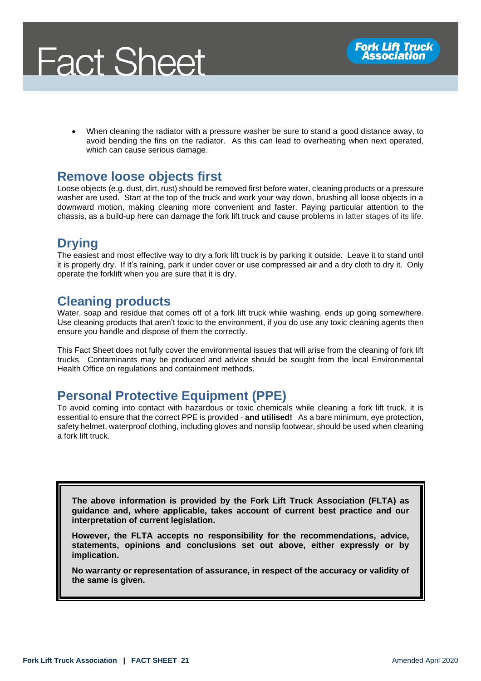

• When cleaning the radiator with a pressure washer be sure to stand a good distance away, to avoid bending the fins on the radiator. As this can lead to overheating when next operated, which can cause serious damage.

#### **Remove loose objects first**

Loose objects (e.g. dust, dirt, rust) should be removed first before water, cleaning products or a pressure washer are used. Start at the top of the truck and work your way down, brushing all loose objects in a downward motion, making cleaning more convenient and faster. Paying particular attention to the chassis, as a build-up here can damage the fork lift truck and cause problems in latter stages of its life.

### **Drying**

The easiest and most effective way to dry a fork lift truck is by parking it outside. Leave it to stand until it is properly dry. If it's raining, park it under cover or use compressed air and a dry cloth to dry it. Only operate the forklift when you are sure that it is dry.

#### **Cleaning products**

Water, soap and residue that comes off of a fork lift truck while washing, ends up going somewhere. Use cleaning products that aren't toxic to the environment, if you do use any toxic cleaning agents then ensure you handle and dispose of them the correctly.

This Fact Sheet does not fully cover the environmental issues that will arise from the cleaning of fork lift trucks. Contaminants may be produced and advice should be sought from the local Environmental Health Office on regulations and containment methods.

#### **Personal Protective Equipment (PPE)**

To avoid coming into contact with hazardous or toxic chemicals while cleaning a fork lift truck, it is essential to ensure that the correct PPE is provided - **and utilised!** As a bare minimum, eye protection, safety helmet, waterproof clothing, including gloves and nonslip footwear, should be used when cleaning a fork lift truck.

**The above information is provided by the Fork Lift Truck Association (FLTA) as guidance and, where applicable, takes account of current best practice and our interpretation of current legislation.** 

**However, the FLTA accepts no responsibility for the recommendations, advice, statements, opinions and conclusions set out above, either expressly or by implication.**

**No warranty or representation of assurance, in respect of the accuracy or validity of the same is given.**